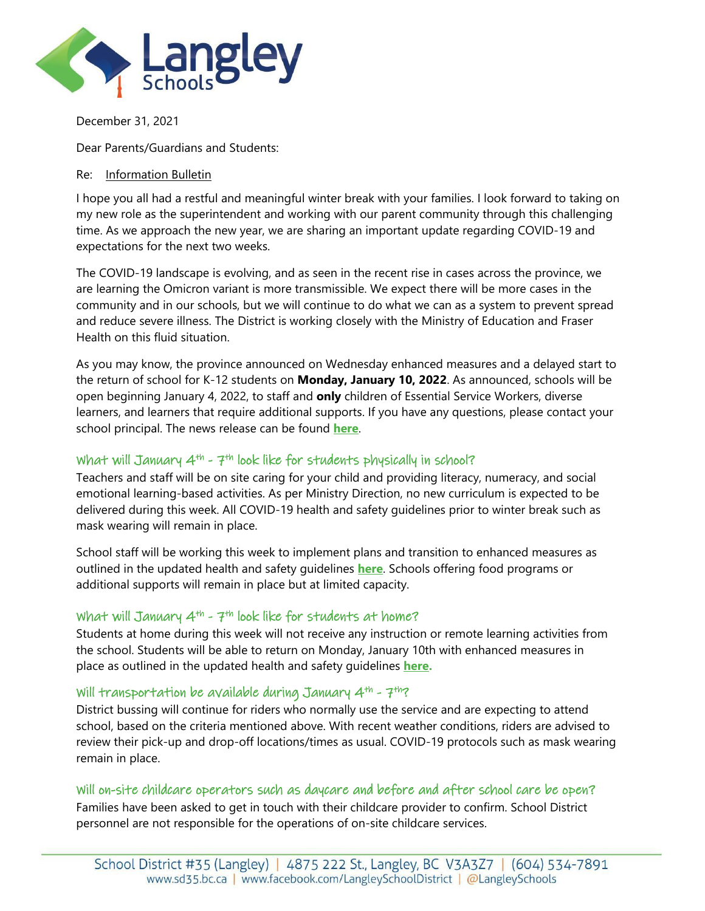

December 31, 2021

Dear Parents/Guardians and Students:

#### Re: Information Bulletin

I hope you all had a restful and meaningful winter break with your families. I look forward to taking on my new role as the superintendent and working with our parent community through this challenging time. As we approach the new year, we are sharing an important update regarding COVID-19 and expectations for the next two weeks.

The COVID-19 landscape is evolving, and as seen in the recent rise in cases across the province, we are learning the Omicron variant is more transmissible. We expect there will be more cases in the community and in our schools, but we will continue to do what we can as a system to prevent spread and reduce severe illness. The District is working closely with the Ministry of Education and Fraser Health on this fluid situation.

As you may know, the province announced on Wednesday enhanced measures and a delayed start to the return of school for K-12 students on **Monday, January 10, 2022**. As announced, schools will be open beginning January 4, 2022, to staff and **only** children of Essential Service Workers, diverse learners, and learners that require additional supports. If you have any questions, please contact your school principal. The news release can be found **[here](https://www.sd35.bc.ca/wp-content/uploads/sites/2/2021/12/NREnhancedMeasuresDelayedStart.pdf)**.

## What will January  $4^{th}$  -  $7^{th}$  look like for students physically in school?

Teachers and staff will be on site caring for your child and providing literacy, numeracy, and social emotional learning-based activities. As per Ministry Direction, no new curriculum is expected to be delivered during this week. All COVID-19 health and safety guidelines prior to winter break such as mask wearing will remain in place.

School staff will be working this week to implement plans and transition to enhanced measures as outlined in the updated health and safety guidelines **[here](https://www.sd35.bc.ca/wp-content/uploads/sites/2/2021/12/k-12-covid-19-health-safety-guidelines-addendum.pdf)**. Schools offering food programs or additional supports will remain in place but at limited capacity.

#### What will January 4<sup>th</sup> - 7<sup>th</sup> look like for students at home?

Students at home during this week will not receive any instruction or remote learning activities from the school. Students will be able to return on Monday, January 10th with enhanced measures in place as outlined in the updated health and safety guidelines **[here.](https://www.sd35.bc.ca/wp-content/uploads/sites/2/2021/12/k-12-covid-19-health-safety-guidelines-addendum.pdf)**

#### Will transportation be available during January  $4^{th}$  -  $7^{th}$ ?

District bussing will continue for riders who normally use the service and are expecting to attend school, based on the criteria mentioned above. With recent weather conditions, riders are advised to review their pick-up and drop-off locations/times as usual. COVID-19 protocols such as mask wearing remain in place.

# Will on-site childcare operators such as daycare and before and after school care be open?

Families have been asked to get in touch with their childcare provider to confirm. School District personnel are not responsible for the operations of on-site childcare services.